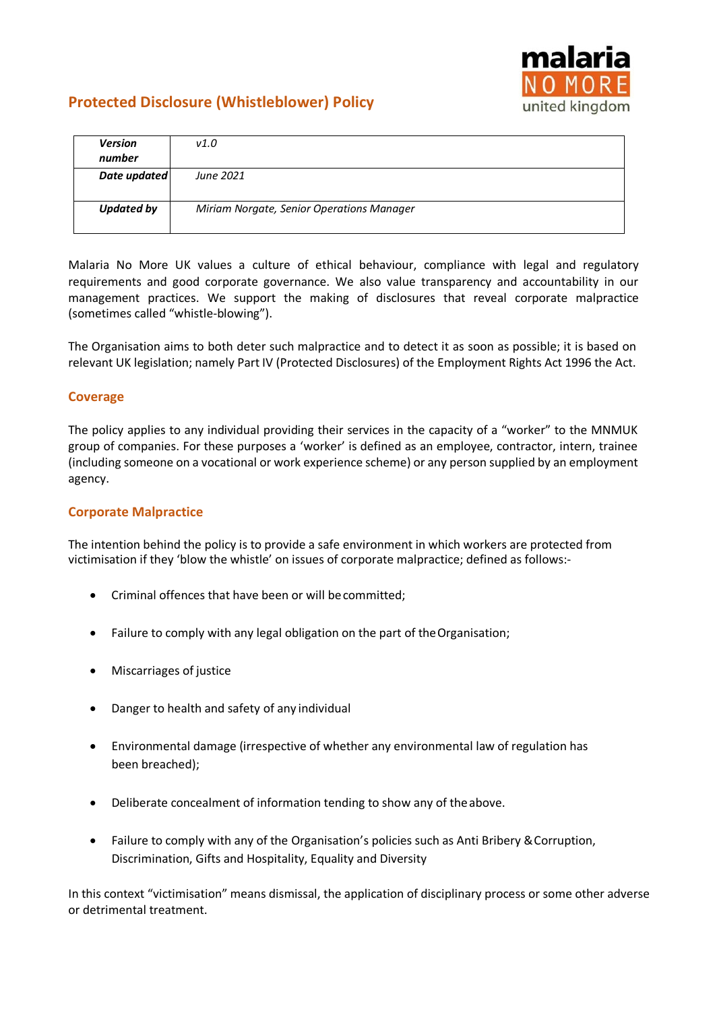

# **Protected Disclosure (Whistleblower) Policy**

| <b>Version</b><br>number | V1.0                                      |
|--------------------------|-------------------------------------------|
| Date updated             | June 2021                                 |
|                          |                                           |
| <b>Updated by</b>        | Miriam Norgate, Senior Operations Manager |
|                          |                                           |

Malaria No More UK values a culture of ethical behaviour, compliance with legal and regulatory requirements and good corporate governance. We also value transparency and accountability in our management practices. We support the making of disclosures that reveal corporate malpractice (sometimes called "whistle-blowing").

The Organisation aims to both deter such malpractice and to detect it as soon as possible; it is based on relevant UK legislation; namely Part IV (Protected Disclosures) of the Employment Rights Act 1996 the Act.

## **Coverage**

The policy applies to any individual providing their services in the capacity of a "worker" to the MNMUK group of companies. For these purposes a 'worker' is defined as an employee, contractor, intern, trainee (including someone on a vocational or work experience scheme) or any person supplied by an employment agency.

## **Corporate Malpractice**

The intention behind the policy is to provide a safe environment in which workers are protected from victimisation if they 'blow the whistle' on issues of corporate malpractice; defined as follows:-

- Criminal offences that have been or will becommitted;
- Failure to comply with any legal obligation on the part of theOrganisation;
- Miscarriages of justice
- Danger to health and safety of any individual
- Environmental damage (irrespective of whether any environmental law of regulation has been breached);
- Deliberate concealment of information tending to show any of theabove.
- Failure to comply with any of the Organisation's policies such as Anti Bribery & Corruption, Discrimination, Gifts and Hospitality, Equality and Diversity

In this context "victimisation" means dismissal, the application of disciplinary process or some other adverse or detrimental treatment.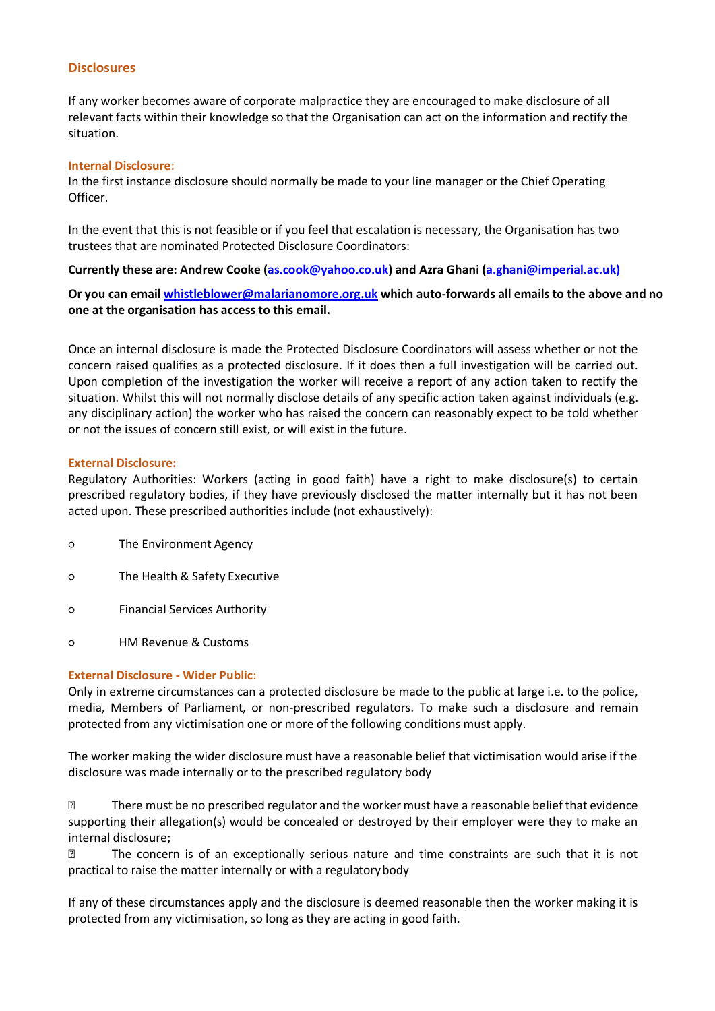#### **Disclosures**

If any worker becomes aware of corporate malpractice they are encouraged to make disclosure of all relevant facts within their knowledge so that the Organisation can act on the information and rectify the situation.

#### **Internal Disclosure**:

In the first instance disclosure should normally be made to your line manager or the Chief Operating Officer.

In the event that this is not feasible or if you feel that escalation is necessary, the Organisation has two trustees that are nominated Protected Disclosure Coordinators:

### **Currently these are: Andrew Cooke [\(as.cook@yahoo.co.uk\)](mailto:as.cook@yahoo.co.uk) and Azra Ghani [\(a.ghani@imperial.ac.uk\)](mailto:a.ghani@imperial.ac.uk)**

**Or you can email [whistleblower@malarianomore.org.uk](mailto:whistleblower@malarianomore.org.uk) which auto-forwards all emails to the above and no one at the organisation has access to this email.**

Once an internal disclosure is made the Protected Disclosure Coordinators will assess whether or not the concern raised qualifies as a protected disclosure. If it does then a full investigation will be carried out. Upon completion of the investigation the worker will receive a report of any action taken to rectify the situation. Whilst this will not normally disclose details of any specific action taken against individuals (e.g. any disciplinary action) the worker who has raised the concern can reasonably expect to be told whether or not the issues of concern still exist, or will exist in the future.

#### **External Disclosure:**

Regulatory Authorities: Workers (acting in good faith) have a right to make disclosure(s) to certain prescribed regulatory bodies, if they have previously disclosed the matter internally but it has not been acted upon. These prescribed authorities include (not exhaustively):

- The Environment Agency
- The Health & Safety Executive
- Financial Services Authority
- HM Revenue &Customs

#### **External Disclosure - Wider Public**:

Only in extreme circumstances can a protected disclosure be made to the public at large i.e. to the police, media, Members of Parliament, or non-prescribed regulators. To make such a disclosure and remain protected from any victimisation one or more of the following conditions must apply.

The worker making the wider disclosure must have a reasonable belief that victimisation would arise if the disclosure was made internally or to the prescribed regulatory body

**There must be no prescribed regulator and the worker must have a reasonable belief that evidence** supporting their allegation(s) would be concealed or destroyed by their employer were they to make an internal disclosure;

 The concern is of an exceptionally serious nature and time constraints are such that it is not practical to raise the matter internally or with a regulatorybody

If any of these circumstances apply and the disclosure is deemed reasonable then the worker making it is protected from any victimisation, so long as they are acting in good faith.